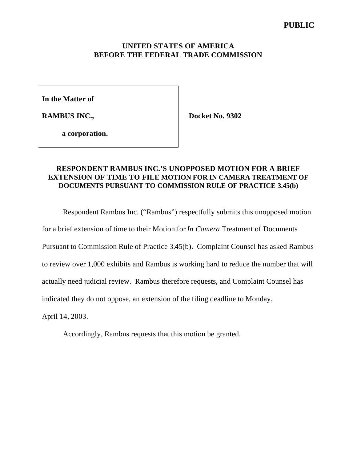### **UNITED STATES OF AMERICA BEFORE THE FEDERAL TRADE COMMISSION**

**In the Matter of**

**RAMBUS INC.,**

**Docket No. 9302**

**a corporation.**

# **RESPONDENT RAMBUS INC.'S UNOPPOSED MOTION FOR A BRIEF EXTENSION OF TIME TO FILE MOTION FOR IN CAMERA TREATMENT OF DOCUMENTS PURSUANT TO COMMISSION RULE OF PRACTICE 3.45(b)**

Respondent Rambus Inc. ("Rambus") respectfully submits this unopposed motion

for a brief extension of time to their Motion for *In Camera* Treatment of Documents

Pursuant to Commission Rule of Practice 3.45(b). Complaint Counsel has asked Rambus

to review over 1,000 exhibits and Rambus is working hard to reduce the number that will

actually need judicial review. Rambus therefore requests, and Complaint Counsel has

indicated they do not oppose, an extension of the filing deadline to Monday,

April 14, 2003.

Accordingly, Rambus requests that this motion be granted.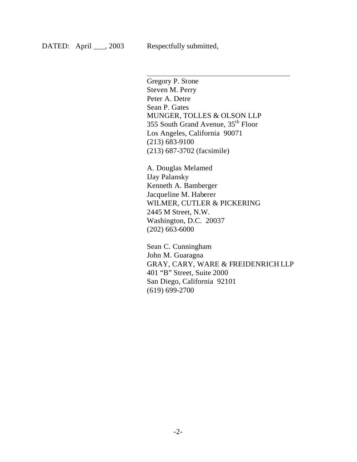$\overline{\phantom{a}}$ 

Gregory P. Stone Steven M. Perry Peter A. Detre Sean P. Gates MUNGER, TOLLES & OLSON LLP 355 South Grand Avenue, 35th Floor Los Angeles, California 90071 (213) 683-9100 (213) 687-3702 (facsimile)

A. Douglas Melamed IJay Palansky Kenneth A. Bamberger Jacqueline M. Haberer WILMER, CUTLER & PICKERING 2445 M Street, N.W. Washington, D.C. 20037 (202) 663-6000

Sean C. Cunningham John M. Guaragna GRAY, CARY, WARE & FREIDENRICH LLP 401 "B" Street, Suite 2000 San Diego, California 92101 (619) 699-2700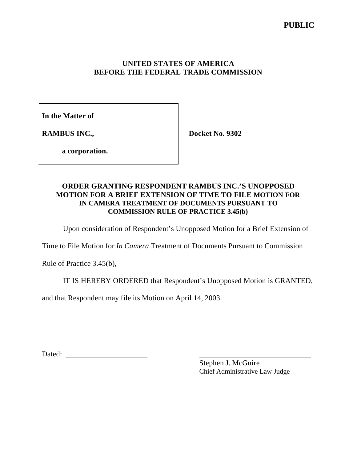# **PUBLIC**

## **UNITED STATES OF AMERICA BEFORE THE FEDERAL TRADE COMMISSION**

**In the Matter of**

**RAMBUS INC.,**

**Docket No. 9302**

**a corporation.**

# **ORDER GRANTING RESPONDENT RAMBUS INC.'S UNOPPOSED MOTION FOR A BRIEF EXTENSION OF TIME TO FILE MOTION FOR IN CAMERA TREATMENT OF DOCUMENTS PURSUANT TO COMMISSION RULE OF PRACTICE 3.45(b)**

Upon consideration of Respondent's Unopposed Motion for a Brief Extension of

Time to File Motion for *In Camera* Treatment of Documents Pursuant to Commission

Rule of Practice 3.45(b),

IT IS HEREBY ORDERED that Respondent's Unopposed Motion is GRANTED,

and that Respondent may file its Motion on April 14, 2003.

Dated:

Stephen J. McGuire Chief Administrative Law Judge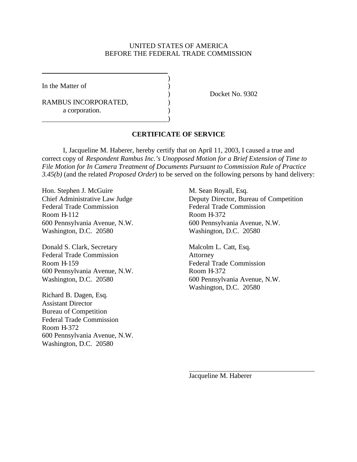#### UNITED STATES OF AMERICA BEFORE THE FEDERAL TRADE COMMISSION

)

)

In the Matter of  $\qquad \qquad$  )

RAMBUS INCORPORATED,  $($ a corporation.

) Docket No. 9302

#### **CERTIFICATE OF SERVICE**

I, Jacqueline M. Haberer, hereby certify that on April 11, 2003, I caused a true and correct copy of *Respondent Rambus Inc.'s Unopposed Motion for a Brief Extension of Time to File Motion for In Camera Treatment of Documents Pursuant to Commission Rule of Practice 3.45(b)* (and the related *Proposed Order*) to be served on the following persons by hand delivery:

Hon. Stephen J. McGuire M. Sean Royall, Esq. Federal Trade Commission Federal Trade Commission Room H-112 Room H-372 Washington, D.C. 20580 Washington, D.C. 20580

Donald S. Clark, Secretary Malcolm L. Catt, Esq. Federal Trade Commission Attorney Room H-159 Federal Trade Commission 600 Pennsylvania Avenue, N.W. Room H-372 Washington, D.C. 20580 600 Pennsylvania Avenue, N.W.

Richard B. Dagen, Esq. Assistant Director Bureau of Competition Federal Trade Commission Room H-372 600 Pennsylvania Avenue, N.W. Washington, D.C. 20580

Chief Administrative Law Judge Deputy Director, Bureau of Competition 600 Pennsylvania Avenue, N.W. 600 Pennsylvania Avenue, N.W.

Washington, D.C. 20580

Jacqueline M. Haberer